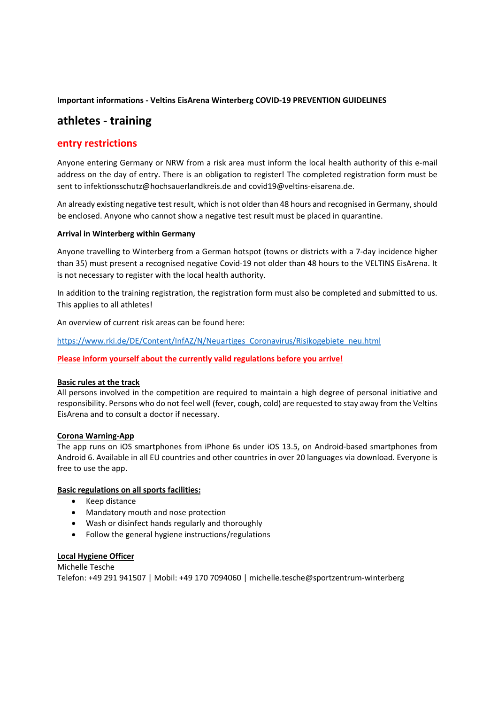**Important informations ‐ Veltins EisArena Winterberg COVID‐19 PREVENTION GUIDELINES**

# **athletes ‐ training**

## **entry restrictions**

Anyone entering Germany or NRW from a risk area must inform the local health authority of this e-mail address on the day of entry. There is an obligation to register! The completed registration form must be sent to infektionsschutz@hochsauerlandkreis.de and covid19@veltins-eisarena.de.

An already existing negative test result, which is not older than 48 hours and recognised in Germany, should be enclosed. Anyone who cannot show a negative test result must be placed in quarantine.

#### **Arrival in Winterberg within Germany**

Anyone travelling to Winterberg from a German hotspot (towns or districts with a 7‐day incidence higher than 35) must present a recognised negative Covid-19 not older than 48 hours to the VELTINS EisArena. It is not necessary to register with the local health authority.

In addition to the training registration, the registration form must also be completed and submitted to us. This applies to all athletes!

An overview of current risk areas can be found here:

https://www.rki.de/DE/Content/InfAZ/N/Neuartiges\_Coronavirus/Risikogebiete\_neu.html

#### **Please inform yourself about the currently valid regulations before you arrive!**

#### **Basic rules at the track**

All persons involved in the competition are required to maintain a high degree of personal initiative and responsibility. Persons who do not feel well (fever, cough, cold) are requested to stay away from the Veltins EisArena and to consult a doctor if necessary.

#### **Corona Warning‐App**

The app runs on iOS smartphones from iPhone 6s under iOS 13.5, on Android‐based smartphones from Android 6. Available in all EU countries and other countries in over 20 languages via download. Everyone is free to use the app.

#### **Basic regulations on all sports facilities:**

- Keep distance
- Mandatory mouth and nose protection
- Wash or disinfect hands regularly and thoroughly
- Follow the general hygiene instructions/regulations

#### **Local Hygiene Officer**

Michelle Tesche Telefon: +49 291 941507 | Mobil: +49 170 7094060 | michelle.tesche@sportzentrum‐winterberg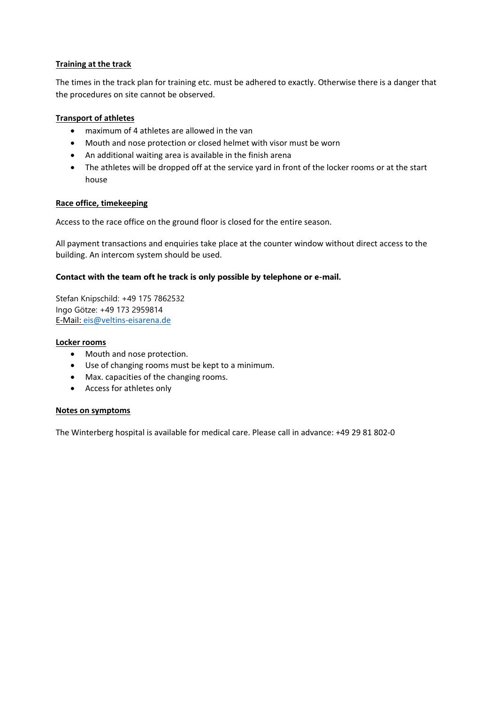## **Training at the track**

The times in the track plan for training etc. must be adhered to exactly. Otherwise there is a danger that the procedures on site cannot be observed.

## **Transport of athletes**

- maximum of 4 athletes are allowed in the van
- Mouth and nose protection or closed helmet with visor must be worn
- An additional waiting area is available in the finish arena
- The athletes will be dropped off at the service yard in front of the locker rooms or at the start house

#### **Race office, timekeeping**

Access to the race office on the ground floor is closed for the entire season.

All payment transactions and enquiries take place at the counter window without direct access to the building. An intercom system should be used.

#### **Contact with the team oft he track is only possible by telephone or e-mail.**

Stefan Knipschild: +49 175 7862532 Ingo Götze: +49 173 2959814 E‐Mail: eis@veltins‐eisarena.de

#### **Locker rooms**

- Mouth and nose protection.
- Use of changing rooms must be kept to a minimum.
- Max. capacities of the changing rooms.
- Access for athletes only

#### **Notes on symptoms**

The Winterberg hospital is available for medical care. Please call in advance: +49 29 81 802‐0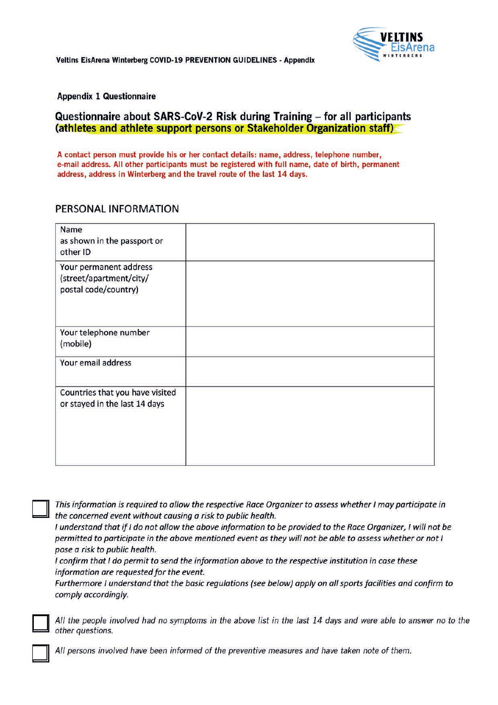Veltins EisArena Winterberg COVID-19 PREVENTION GUIDELINES - Appendix



**Appendix 1 Questionnaire** 

# Questionnaire about SARS-CoV-2 Risk during Training - for all participants (athletes and athlete support persons or Stakeholder Organization staff)

A contact person must provide his or her contact details: name, address, telephone number, e-mail address. All other participants must be registered with full name, date of birth, permanent address, address in Winterberg and the travel route of the last 14 days.

# PERSONAL INFORMATION

| <b>Name</b><br>as shown in the passport or<br>other ID                    |  |
|---------------------------------------------------------------------------|--|
| Your permanent address<br>(street/apartment/city/<br>postal code/country) |  |
| Your telephone number<br>(mobile)                                         |  |
| Your email address                                                        |  |
| Countries that you have visited<br>or stayed in the last 14 days          |  |

This information is required to allow the respective Race Organizer to assess whether I may participate in the concerned event without causing a risk to public health.

I understand that if I do not allow the above information to be provided to the Race Organizer, I will not be permitted to participate in the above mentioned event as they will not be able to assess whether or not I pose a risk to public health.

I confirm that I do permit to send the information above to the respective institution in case these information are requested for the event.

Furthermore I understand that the basic regulations (see below) apply on all sports facilities and confirm to comply accordingly.

All the people involved had no symptoms in the above list in the last 14 days and were able to answer no to the other questions.

All persons involved have been informed of the preventive measures and have taken note of them.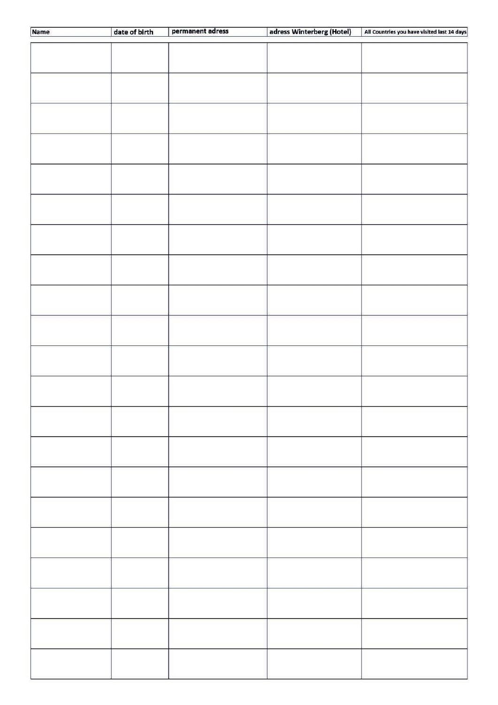| Name | date of birth | permanent adress | adress Winterberg (Hotel) | All Countries you have visited last 14 days |
|------|---------------|------------------|---------------------------|---------------------------------------------|
|      |               |                  |                           |                                             |
|      |               |                  |                           |                                             |
|      |               |                  |                           |                                             |
|      |               |                  |                           |                                             |
|      |               |                  |                           |                                             |
|      |               |                  |                           |                                             |
|      |               |                  |                           |                                             |
|      |               |                  |                           |                                             |
|      |               |                  |                           |                                             |
|      |               |                  |                           |                                             |
|      |               |                  |                           |                                             |
|      |               |                  |                           |                                             |
|      |               |                  |                           |                                             |
|      |               |                  |                           |                                             |
|      |               |                  |                           |                                             |
|      |               |                  |                           |                                             |
|      |               |                  |                           |                                             |
|      |               |                  |                           |                                             |
|      |               |                  |                           |                                             |
|      |               |                  |                           |                                             |
|      |               |                  |                           |                                             |
|      |               |                  |                           |                                             |
|      |               |                  |                           |                                             |
|      |               |                  |                           |                                             |